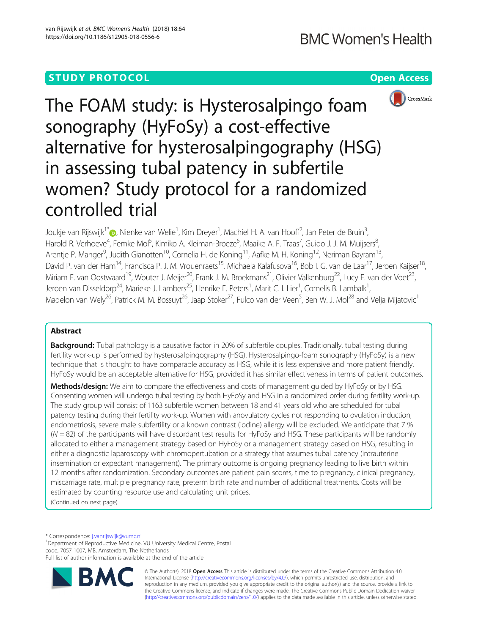# **STUDY PROTOCOL CONSUMING THE CONSUMING OPEN ACCESS**



The FOAM study: is Hysterosalpingo foam sonography (HyFoSy) a cost-effective alternative for hysterosalpingography (HSG) in assessing tubal patency in subfertile women? Study protocol for a randomized controlled trial

Joukje van Rijswijk<sup>1[\\*](http://orcid.org/0000-0002-2413-798X)</sup>®, Nienke van Welie<sup>1</sup>, Kim Dreyer<sup>1</sup>, Machiel H. A. van Hooff<sup>2</sup>, Jan Peter de Bruin<sup>3</sup> , Harold R. Verhoeve<sup>4</sup>, Femke Mol<sup>5</sup>, Kimiko A. Kleiman-Broeze<sup>6</sup>, Maaike A. F. Traas<sup>7</sup>, Guido J. J. M. Muijsers<sup>8</sup> ;<br>, Arentje P. Manger<sup>9</sup>, Judith Gianotten<sup>10</sup>, Cornelia H. de Koning<sup>11</sup>, Aafke M. H. Koning<sup>12</sup>, Neriman Bayram<sup>13</sup>, David P. van der Ham<sup>14</sup>, Francisca P. J. M. Vrouenraets<sup>15</sup>, Michaela Kalafusova<sup>16</sup>, Bob I. G. van de Laar<sup>17</sup>, Jeroen Kaijser<sup>18</sup>, Miriam F. van Oostwaard<sup>19</sup>, Wouter J. Meijer<sup>20</sup>, Frank J. M. Broekmans<sup>21</sup>, Olivier Valkenburg<sup>22</sup>, Lucy F. van der Voet<sup>23</sup>, Jeroen van Disseldorp<sup>24</sup>, Marieke J. Lambers<sup>25</sup>, Henrike E. Peters<sup>1</sup>, Marit C. I. Lier<sup>1</sup>, Cornelis B. Lambalk<sup>1</sup> , Madelon van Wely<sup>26</sup>, Patrick M. M. Bossuyt<sup>26</sup>, Jaap Stoker<sup>27</sup>, Fulco van der Veen<sup>5</sup>, Ben W. J. Mol<sup>28</sup> and Velja Mijatovic<sup>1</sup>

# Abstract

Background: Tubal pathology is a causative factor in 20% of subfertile couples. Traditionally, tubal testing during fertility work-up is performed by hysterosalpingography (HSG). Hysterosalpingo-foam sonography (HyFoSy) is a new technique that is thought to have comparable accuracy as HSG, while it is less expensive and more patient friendly. HyFoSy would be an acceptable alternative for HSG, provided it has similar effectiveness in terms of patient outcomes.

Methods/design: We aim to compare the effectiveness and costs of management guided by HyFoSy or by HSG. Consenting women will undergo tubal testing by both HyFoSy and HSG in a randomized order during fertility work-up. The study group will consist of 1163 subfertile women between 18 and 41 years old who are scheduled for tubal patency testing during their fertility work-up. Women with anovulatory cycles not responding to ovulation induction, endometriosis, severe male subfertility or a known contrast (iodine) allergy will be excluded. We anticipate that 7 %  $(N = 82)$  of the participants will have discordant test results for HyFoSy and HSG. These participants will be randomly allocated to either a management strategy based on HyFoSy or a management strategy based on HSG, resulting in either a diagnostic laparoscopy with chromopertubation or a strategy that assumes tubal patency (intrauterine insemination or expectant management). The primary outcome is ongoing pregnancy leading to live birth within 12 months after randomization. Secondary outcomes are patient pain scores, time to pregnancy, clinical pregnancy, miscarriage rate, multiple pregnancy rate, preterm birth rate and number of additional treatments. Costs will be estimated by counting resource use and calculating unit prices.

(Continued on next page)

\* Correspondence: [j.vanrijswijk@vumc.nl](mailto:j.vanrijswijk@vumc.nl) <sup>1</sup>

<sup>1</sup>Department of Reproductive Medicine, VU University Medical Centre, Postal code, 7057 1007, MB, Amsterdam, The Netherlands

Full list of author information is available at the end of the article



© The Author(s). 2018 Open Access This article is distributed under the terms of the Creative Commons Attribution 4.0 International License [\(http://creativecommons.org/licenses/by/4.0/](http://creativecommons.org/licenses/by/4.0/)), which permits unrestricted use, distribution, and reproduction in any medium, provided you give appropriate credit to the original author(s) and the source, provide a link to the Creative Commons license, and indicate if changes were made. The Creative Commons Public Domain Dedication waiver [\(http://creativecommons.org/publicdomain/zero/1.0/](http://creativecommons.org/publicdomain/zero/1.0/)) applies to the data made available in this article, unless otherwise stated.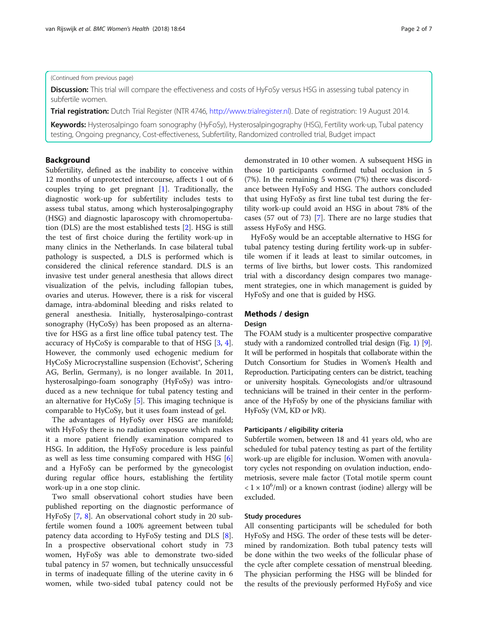## (Continued from previous page)

**Discussion:** This trial will compare the effectiveness and costs of HyFoSy versus HSG in assessing tubal patency in subfertile women.

**Trial registration:** Dutch Trial Register (NTR 4746, <http://www.trialregister.nl>). Date of registration: 19 August 2014.

Keywords: Hysterosalpingo foam sonography (HyFoSy), Hysterosalpingography (HSG), Fertility work-up, Tubal patency testing, Ongoing pregnancy, Cost-effectiveness, Subfertility, Randomized controlled trial, Budget impact

# Background

Subfertility, defined as the inability to conceive within 12 months of unprotected intercourse, affects 1 out of 6 couples trying to get pregnant [[1\]](#page-6-0). Traditionally, the diagnostic work-up for subfertility includes tests to assess tubal status, among which hysterosalpingography (HSG) and diagnostic laparoscopy with chromopertubation (DLS) are the most established tests [\[2](#page-6-0)]. HSG is still the test of first choice during the fertility work-up in many clinics in the Netherlands. In case bilateral tubal pathology is suspected, a DLS is performed which is considered the clinical reference standard. DLS is an invasive test under general anesthesia that allows direct visualization of the pelvis, including fallopian tubes, ovaries and uterus. However, there is a risk for visceral damage, intra-abdominal bleeding and risks related to general anesthesia. Initially, hysterosalpingo-contrast sonography (HyCoSy) has been proposed as an alternative for HSG as a first line office tubaI patency test. The accuracy of HyCoSy is comparable to that of HSG [\[3](#page-6-0), [4](#page-6-0)]. However, the commonly used echogenic medium for HyCoSy Microcrystalline suspension (Echovist<sup>®</sup>, Schering AG, Berlin, Germany), is no longer available. In 2011, hysterosalpingo-foam sonography (HyFoSy) was introduced as a new technique for tubal patency testing and an alternative for HyCoSy [\[5\]](#page-6-0). This imaging technique is comparable to HyCoSy, but it uses foam instead of gel.

The advantages of HyFoSy over HSG are manifold; with HyFoSy there is no radiation exposure which makes it a more patient friendly examination compared to HSG. In addition, the HyFoSy procedure is less painful as well as less time consuming compared with HSG [\[6](#page-6-0)] and a HyFoSy can be performed by the gynecologist during regular office hours, establishing the fertility work-up in a one stop clinic.

Two small observational cohort studies have been published reporting on the diagnostic performance of HyFoSy [[7,](#page-6-0) [8](#page-6-0)]. An observational cohort study in 20 subfertile women found a 100% agreement between tubal patency data according to HyFoSy testing and DLS [\[8](#page-6-0)]. In a prospective observational cohort study in 73 women, HyFoSy was able to demonstrate two-sided tubal patency in 57 women, but technically unsuccessful in terms of inadequate filling of the uterine cavity in 6 women, while two-sided tubaI patency could not be

demonstrated in 10 other women. A subsequent HSG in those 10 participants confirmed tubal occlusion in 5 (7%). In the remaining 5 women (7%) there was discordance between HyFoSy and HSG. The authors concluded that using HyFoSy as first line tubal test during the fertility work-up could avoid an HSG in about 78% of the cases (57 out of 73) [[7\]](#page-6-0). There are no large studies that assess HyFoSy and HSG.

HyFoSy would be an acceptable alternative to HSG for tubal patency testing during fertility work-up in subfertile women if it leads at least to similar outcomes, in terms of live births, but lower costs. This randomized trial with a discordancy design compares two management strategies, one in which management is guided by HyFoSy and one that is guided by HSG.

# Methods / design

# Design

The FOAM study is a multicenter prospective comparative study with a randomized controlled trial design (Fig. [1\)](#page-2-0) [[9](#page-6-0)]. It will be performed in hospitals that collaborate within the Dutch Consortium for Studies in Women's Health and Reproduction. Participating centers can be district, teaching or university hospitals. Gynecologists and/or ultrasound technicians will be trained in their center in the performance of the HyFoSy by one of the physicians familiar with HyFoSy (VM, KD or JvR).

# Participants / eligibility criteria

Subfertile women, between 18 and 41 years old, who are scheduled for tubal patency testing as part of the fertility work-up are eligible for inclusion. Women with anovulatory cycles not responding on ovulation induction, endometriosis, severe male factor (Total motile sperm count  $< 1 \times 10^6$ /ml) or a known contrast (iodine) allergy will be excluded.

# Study procedures

All consenting participants will be scheduled for both HyFoSy and HSG. The order of these tests will be determined by randomization. Both tubal patency tests will be done within the two weeks of the follicular phase of the cycle after complete cessation of menstrual bleeding. The physician performing the HSG will be blinded for the results of the previously performed HyFoSy and vice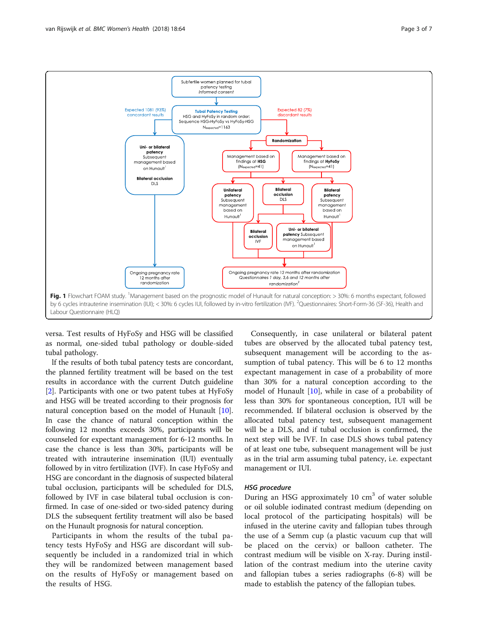

<span id="page-2-0"></span>

versa. Test results of HyFoSy and HSG will be classified as normal, one-sided tubal pathology or double-sided tubal pathology.

lf the results of both tubal patency tests are concordant, the planned fertility treatment will be based on the test results in accordance with the current Dutch guideline [[2\]](#page-6-0). Participants with one or two patent tubes at HyFoSy and HSG will be treated according to their prognosis for natural conception based on the model of Hunault [[10](#page-6-0)]. In case the chance of natural conception within the following 12 months exceeds 30%, participants will be counseled for expectant management for 6-12 months. In case the chance is less than 30%, participants will be treated with intrauterine insemination (IUI) eventually followed by in vitro fertilization (IVF). In case HyFoSy and HSG are concordant in the diagnosis of suspected bilateral tubal occlusion, participants will be scheduled for DLS, followed by IVF in case bilateral tubaI occlusion is confirmed. In case of one-sided or two-sided patency during DLS the subsequent fertility treatment will also be based on the Hunault prognosis for natural conception.

Participants in whom the results of the tubaI patency tests HyFoSy and HSG are discordant will subsequently be included in a randomized trial in which they will be randomized between management based on the results of HyFoSy or management based on the results of HSG.

Consequently, in case unilateral or bilateral patent tubes are observed by the allocated tubal patency test, subsequent management will be according to the assumption of tubal patency. This will be 6 to 12 months expectant management in case of a probability of more than 30% for a natural conception according to the model of Hunault [\[10](#page-6-0)], while in case of a probability of less than 30% for spontaneous conception, IUI will be recommended. If bilateral occlusion is observed by the allocated tubal patency test, subsequent management will be a DLS, and if tubal occlusion is confirmed, the next step will be IVF. In case DLS shows tubal patency of at least one tube, subsequent management will be just as in the trial arm assuming tubal patency, i.e. expectant management or IUI.

## HSG procedure

During an HSG approximately 10  $\text{cm}^3$  of water soluble or oil soluble iodinated contrast medium (depending on local protocol of the participating hospitals) will be infused in the uterine cavity and fallopian tubes through the use of a Semm cup (a plastic vacuum cup that will be placed on the cervix) or balloon catheter. The contrast medium will be visible on X-ray. During instillation of the contrast medium into the uterine cavity and fallopian tubes a series radiographs (6-8) will be made to establish the patency of the fallopian tubes.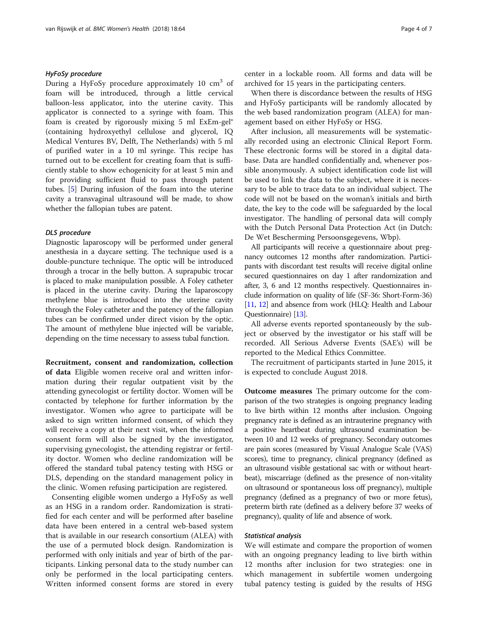# HyFoSy procedure

During a HyFoSy procedure approximately 10 cm<sup>3</sup> of foam will be introduced, through a little cervical balloon-less applicator, into the uterine cavity. This applicator is connected to a syringe with foam. This foam is created by rigorously mixing 5 ml ExEm-gel® (containing hydroxyethyl cellulose and glycerol, IQ Medical Ventures BV, Delft, The Netherlands) with 5 ml of purified water in a 10 ml syringe. This recipe has turned out to be excellent for creating foam that is sufficiently stable to show echogenicity for at least 5 min and for providing sufficient fluid to pass through patent tubes. [[5\]](#page-6-0) During infusion of the foam into the uterine cavity a transvaginal ultrasound will be made, to show whether the fallopian tubes are patent.

## DLS procedure

Diagnostic laparoscopy will be performed under general anesthesia in a daycare setting. The technique used is a double-puncture technique. The optic will be introduced through a trocar in the belly button. A suprapubic trocar is placed to make manipulation possible. A Foley catheter is placed in the uterine cavity. During the laparoscopy methylene blue is introduced into the uterine cavity through the Foley catheter and the patency of the fallopian tubes can be confirmed under direct vision by the optic. The amount of methylene blue injected will be variable, depending on the time necessary to assess tubal function.

Recruitment, consent and randomization, collection

of data Eligible women receive oral and written information during their regular outpatient visit by the attending gynecologist or fertility doctor. Women will be contacted by telephone for further information by the investigator. Women who agree to participate will be asked to sign written informed consent, of which they will receive a copy at their next visit, when the informed consent form will also be signed by the investigator, supervising gynecologist, the attending registrar or fertility doctor. Women who decline randomization will be offered the standard tubal patency testing with HSG or DLS, depending on the standard management policy in the clinic. Women refusing participation are registered.

Consenting eligible women undergo a HyFoSy as well as an HSG in a random order. Randomization is stratified for each center and will be performed after baseline data have been entered in a central web-based system that is available in our research consortium (ALEA) with the use of a permuted block design. Randomization is performed with only initials and year of birth of the participants. Linking personal data to the study number can only be performed in the local participating centers. Written informed consent forms are stored in every center in a lockable room. All forms and data will be archived for 15 years in the participating centers.

When there is discordance between the results of HSG and HyFoSy participants will be randomly allocated by the web based randomization program (ALEA) for management based on either HyFoSy or HSG.

After inclusion, all measurements will be systematically recorded using an electronic Clinical Report Form. These electronic forms will be stored in a digital database. Data are handled confidentially and, whenever possible anonymously. A subject identification code list will be used to link the data to the subject, where it is necessary to be able to trace data to an individual subject. The code will not be based on the woman's initials and birth date, the key to the code will be safeguarded by the local investigator. The handling of personal data will comply with the Dutch Personal Data Protection Act (in Dutch: De Wet Bescherming Persoonsgegevens, Wbp).

All participants will receive a questionnaire about pregnancy outcomes 12 months after randomization. Participants with discordant test results will receive digital online secured questionnaires on day 1 after randomization and after, 3, 6 and 12 months respectively. Questionnaires include information on quality of life (SF-36: Short-Form-36) [[11](#page-6-0), [12\]](#page-6-0) and absence from work (HLQ: Health and Labour Questionnaire) [[13](#page-6-0)].

All adverse events reported spontaneously by the subject or observed by the investigator or his staff will be recorded. All Serious Adverse Events (SAE's) will be reported to the Medical Ethics Committee.

The recruitment of participants started in June 2015, it is expected to conclude August 2018.

Outcome measures The primary outcome for the comparison of the two strategies is ongoing pregnancy leading to live birth within 12 months after inclusion. Ongoing pregnancy rate is defined as an intrauterine pregnancy with a positive heartbeat during ultrasound examination between 10 and 12 weeks of pregnancy. Secondary outcomes are pain scores (measured by Visual Analogue Scale (VAS) scores), time to pregnancy, clinical pregnancy (defined as an ultrasound visible gestational sac with or without heartbeat), miscarriage (defined as the presence of non-vitality on ultrasound or spontaneous loss off pregnancy), multiple pregnancy (defined as a pregnancy of two or more fetus), preterm birth rate (defined as a delivery before 37 weeks of pregnancy), quality of life and absence of work.

# Statistical analysis

We will estimate and compare the proportion of women with an ongoing pregnancy leading to live birth within 12 months after inclusion for two strategies: one in which management in subfertile women undergoing tubal patency testing is guided by the results of HSG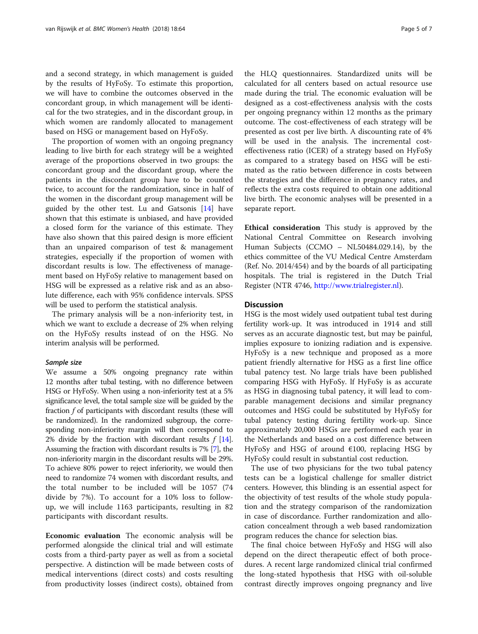and a second strategy, in which management is guided by the results of HyFoSy. To estimate this proportion, we will have to combine the outcomes observed in the concordant group, in which management will be identical for the two strategies, and in the discordant group, in which women are randomly allocated to management based on HSG or management based on HyFoSy.

The proportion of women with an ongoing pregnancy leading to live birth for each strategy will be a weighted average of the proportions observed in two groups: the concordant group and the discordant group, where the patients in the discordant group have to be counted twice, to account for the randomization, since in half of the women in the discordant group management will be guided by the other test. Lu and Gatsonis [[14](#page-6-0)] have shown that this estimate is unbiased, and have provided a closed form for the variance of this estimate. They have also shown that this paired design is more efficient than an unpaired comparison of test & management strategies, especially if the proportion of women with discordant results is low. The effectiveness of management based on HyFoSy relative to management based on HSG will be expressed as a relative risk and as an absolute difference, each with 95% confidence intervals. SPSS will be used to perform the statistical analysis.

The primary analysis will be a non-inferiority test, in which we want to exclude a decrease of 2% when relying on the HyFoSy results instead of on the HSG. No interim analysis will be performed.

## Sample size

We assume a 50% ongoing pregnancy rate within 12 months after tubal testing, with no difference between HSG or HyFoSy. When using a non-inferiority test at a 5% significance level, the total sample size will be guided by the fraction  $f$  of participants with discordant results (these will be randomized). In the randomized subgroup, the corresponding non-inferiority margin will then correspond to 2% divide by the fraction with discordant results  $f[14]$  $f[14]$  $f[14]$ . Assuming the fraction with discordant results is 7% [\[7](#page-6-0)], the non-inferiority margin in the discordant results will be 29%. To achieve 80% power to reject inferiority, we would then need to randomize 74 women with discordant results, and the total number to be included will be 1057 (74 divide by 7%). To account for a 10% loss to followup, we will include 1163 participants, resulting in 82 participants with discordant results.

Economic evaluation The economic analysis will be performed alongside the clinical trial and will estimate costs from a third-party payer as well as from a societal perspective. A distinction will be made between costs of medical interventions (direct costs) and costs resulting from productivity losses (indirect costs), obtained from

the HLQ questionnaires. Standardized units will be calculated for all centers based on actual resource use made during the trial. The economic evaluation will be designed as a cost-effectiveness analysis with the costs per ongoing pregnancy within 12 months as the primary outcome. The cost-effectiveness of each strategy will be presented as cost per live birth. A discounting rate of 4% will be used in the analysis. The incremental costeffectiveness ratio (ICER) of a strategy based on HyFoSy as compared to a strategy based on HSG will be estimated as the ratio between difference in costs between the strategies and the difference in pregnancy rates, and reflects the extra costs required to obtain one additional live birth. The economic analyses will be presented in a separate report.

Ethical consideration This study is approved by the National Central Committee on Research involving Human Subjects (CCMO – NL50484.029.14), by the ethics committee of the VU Medical Centre Amsterdam (Ref. No. 2014/454) and by the boards of all participating hospitals. The trial is registered in the Dutch Trial Register (NTR 4746, <http://www.trialregister.nl>).

### **Discussion**

HSG is the most widely used outpatient tubal test during fertility work-up. It was introduced in 1914 and still serves as an accurate diagnostic test, but may be painful, implies exposure to ionizing radiation and is expensive. HyFoSy is a new technique and proposed as a more patient friendly alternative for HSG as a first line office tubal patency test. No large trials have been published comparing HSG with HyFoSy. lf HyFoSy is as accurate as HSG in diagnosing tubal patency, it will lead to comparable management decisions and similar pregnancy outcomes and HSG could be substituted by HyFoSy for tubal patency testing during fertility work-up. Since approximately 20,000 HSGs are performed each year in the Netherlands and based on a cost difference between HyFoSy and HSG of around  $€100$ , replacing HSG by HyFoSy could result in substantial cost reduction.

The use of two physicians for the two tubal patency tests can be a logistical challenge for smaller district centers. However, this blinding is an essential aspect for the objectivity of test results of the whole study population and the strategy comparison of the randomization in case of discordance. Further randomization and allocation concealment through a web based randomization program reduces the chance for selection bias.

The final choice between HyFoSy and HSG will also depend on the direct therapeutic effect of both procedures. A recent large randomized clinical trial confirmed the long-stated hypothesis that HSG with oil-soluble contrast directly improves ongoing pregnancy and live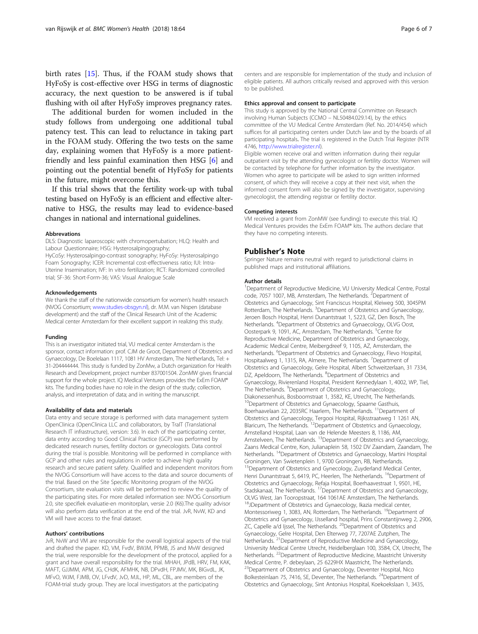birth rates [[15](#page-6-0)]. Thus, if the FOAM study shows that HyFoSy is cost-effective over HSG in terms of diagnostic accuracy, the next question to be answered is if tubal flushing with oil after HyFoSy improves pregnancy rates.

The additional burden for women included in the study follows from undergoing one additional tubal patency test. This can lead to reluctance in taking part in the FOAM study. Offering the two tests on the same day, explaining women that HyFoSy is a more patientfriendly and less painful examination then HSG [[6\]](#page-6-0) and pointing out the potential benefit of HyFoSy for patients in the future, might overcome this.

If this trial shows that the fertility work-up with tubal testing based on HyFoSy is an efficient and effective alternative to HSG, the results may lead to evidence-based changes in national and international guidelines.

#### Abbrevations

DLS: Diagnostic laparoscopic with chromopertubation; HLQ: Health and Labour Questionnaire; HSG: Hysterosalpingography; HyCoSy: Hysterosalpingo-contrast sonography; HyFoSy: Hysterosalpingo Foam Sonography; ICER: Incremental cost-effectiveness ratio; IUI: Intra-Uterine Insemination; IVF: In vitro fertilization; RCT: Randomized controlled trial; SF-36: Short-Form-36; VAS: Visual Analogue Scale

#### Acknowledgements

We thank the staff of the nationwide consortium for women's health research (NVOG Consortium; [www.studies-obsgyn.nl](http://www.studies-obsgyn.nl)), dr. M.M. van Nispen (database development) and the staff of the Clinical Research Unit of the Academic Medical center Amsterdam for their excellent support in realizing this study.

#### Funding

This is an investigator initiated trial, VU medical center Amsterdam is the sponsor, contact information: prof. CJM de Groot, Department of Obstetrics and Gynaecology, De Boelelaan 1117, 1081 HV Amsterdam, The Netherlands, Tel: + 31-204444444. This study is funded by ZonMw, a Dutch organization for Health Research and Development, project number 837001504. ZonMW gives financial support for the whole project. IQ Medical Ventures provides the ExEm FOAM® kits. The funding bodies have no role in the design of the study; collection, analysis, and interpretation of data; and in writing the manuscript.

### Availability of data and materials

Data entry and secure storage is performed with data management system OpenClinica (OpenClinica LLC and collaborators, by TraIT (Translational Research IT infrastructure), version: 3.6). In each of the participating center, data entry according to Good Clinical Practice (GCP) was performed by dedicated research nurses, fertility doctors or gynecologists. Data control during the trial is possible. Monitoring will be performed in compliance with GCP and other rules and regulations in order to achieve high quality research and secure patient safety. Qualified and independent monitors from the NVOG Consortium will have access to the data and source documents of the trial. Based on the Site Specific Monitoring program of the NVOG Consortium, site evaluation visits will be performed to review the quality of the participating sites. For more detailed information see: NVOG Consortium 2.0, site specifiek evaluatie-en monitorplan, versie 2.0 (K6).The quality advisor will also perform data verification at the end of the trial. JvR, NvW, KD and VM will have access to the final dataset.

#### Authors' contributions

JvR, NvW and VM are responsible for the overall logistical aspects of the trial and drafted the paper. KD, VM, FvdV, BWJM, PPMB, JS and MvW designed the trial, were responsible for the development of the protocol, applied for a grant and have overall responsibility for the trial. MHAH, JPdB, HRV, FM, KAK, MAFT, GJJMM, APM, JG, CHdK, AFMHK, NB, DPvdH, FPJMV, MK, BIGvdL, JK, MFvO, WJM, FJMB, OV, LFvdV, JvD, MJL, HP, ML, CBL, are members of the FOAM-trial study group. They are local investigators at the participating

centers and are responsible for implementation of the study and inclusion of eligible patients. All authors critically revised and approved with this version to be published.

#### Ethics approval and consent to participate

This study is approved by the National Central Committee on Research involving Human Subjects (CCMO – NL50484.029.14), by the ethics committee of the VU Medical Centre Amsterdam (Ref. No. 2014/454) which suffices for all participating centers under Dutch law and by the boards of all participating hospitals. The trial is registered in the Dutch Trial Register (NTR 4746, [http://www.trialregister.nl\)](http://www.trialregister.nl).

Eligible women receive oral and written information during their regular outpatient visit by the attending gynecologist or fertility doctor. Women will be contacted by telephone for further information by the investigator. Women who agree to participate will be asked to sign written informed consent, of which they will receive a copy at their next visit, when the informed consent form will also be signed by the investigator, supervising gynecologist, the attending registrar or fertility doctor.

#### Competing interests

VM received a grant from ZonMW (see funding) to execute this trial. IQ Medical Ventures provides the ExEm FOAM® kits. The authors declare that they have no competing interests.

#### Publisher's Note

Springer Nature remains neutral with regard to jurisdictional claims in published maps and institutional affiliations.

#### Author details

<sup>1</sup>Department of Reproductive Medicine, VU University Medical Centre, Postal code, 7057 1007, MB, Amsterdam, The Netherlands.<sup>2</sup> Department of Obstetrics and Gynaecology, Sint Franciscus Hospital, Kleiweg 500, 3045PM Rotterdam, The Netherlands. <sup>3</sup>Department of Obstetrics and Gynaecology Jeroen Bosch Hospital, Henri Dunantstraat 1, 5223, GZ, Den Bosch, The Netherlands. <sup>4</sup> Department of Obstetrics and Gynaecology, OLVG Oost, Oosterpark 9, 1091, AC, Amsterdam, The Netherlands. <sup>5</sup>Centre for Reproductive Medicine, Department of Obstetrics and Gynaecology, Academic Medical Centre, Meibergdreef 9, 1105, AZ, Amsterdam, the Netherlands. <sup>6</sup>Department of Obstetrics and Gynaecology, Flevo Hospital, Hospitaalweg 1, 1315, RA, Almere, The Netherlands. <sup>7</sup>Department of Obstetrics and Gynaecology, Gelre Hospital, Albert Schweitzerlaan, 31 7334, DZ, Apeldoorn, The Netherlands. <sup>8</sup>Department of Obstetrics and Gynaecology, Rivierenland Hospital, President Kennedylaan 1, 4002, WP, Tiel, The Netherlands. <sup>9</sup>Department of Obstetrics and Gynaecology, Diakonessenhuis, Bosboomstraat 1, 3582, KE, Utrecht, The Netherlands. <sup>10</sup>Department of Obstetrics and Gynaecology, Spaarne Gasthuis, Boerhaavelaan 22, 2035RC Haarlem, The Netherlands. 11Department of Obstetrics and Gynaecology, Tergooi Hospital, Rijksstraatweg 1 1261 AN, Blaricum, The Netherlands. 12Department of Obstetrics and Gynaecology, Amstelland Hospital, Laan van de Helende Meesters 8, 1186, AM, Amstelveen, The Netherlands. <sup>13</sup>Department of Obstetrics and Gynaecology, Zaans Medical Centre, Kon, Julianaplein 58, 1502 DV Zaandam, Zaandam, The Netherlands. 14Department of Obstetrics and Gynaecology, Martini Hospital Groningen, Van Swietenplein 1, 9700 Groningen, RB, Netherlands. <sup>15</sup>Department of Obstetrics and Gynecology, Zuyderland Medical Center, Henri Dunantstraat 5, 6419, PC, Heerlen, The Netherlands. <sup>16</sup>Department of Obstetrics and Gynaecology, Refaja Hospital, Boerhaavestraat 1, 9501, HE, Stadskanaal, The Netherlands. 17Department of Obstetrics and Gynaecology, OLVG West, Jan Tooropstraat, 164 1061AE Amsterdam, The Netherlands. <sup>18</sup>JDepartment of Obstetrics and Gynaecology, Ikazia medical center, Montessoriweg 1, 3083, AN, Rotterdam, The Netherlands. <sup>19</sup>Department of Obstetrics and Gynaecology, IJsselland hospital, Prins Constantijnweg 2, 2906, ZC, Capelle a/d Ijssel, The Netherlands. <sup>20</sup>Department of Obstetrics and Gynaecology, Gelre Hospital, Den Elterweg 77, 7207AE Zutphen, The Netherlands.<sup>21</sup>Department of Reproductive Medicine and Gynaecology, University Medical Centre Utrecht, Heidelberglaan 100, 3584, CX, Utrecht, The Netherlands. 22Department of Reproductive Medicine, Maastricht University Medical Centre, P. debeylaan, 25 6229HX Maastricht, The Netherlands.  $^{23}$ Department of Obstetrics and Gynaecology, Deventer Hospital, Nico Bolkesteinlaan 75, 7416, SE, Deventer, The Netherlands. 24Department of Obstetrics and Gynaecology, Sint Antonius Hospital, Koekoekslaan 1, 3435,